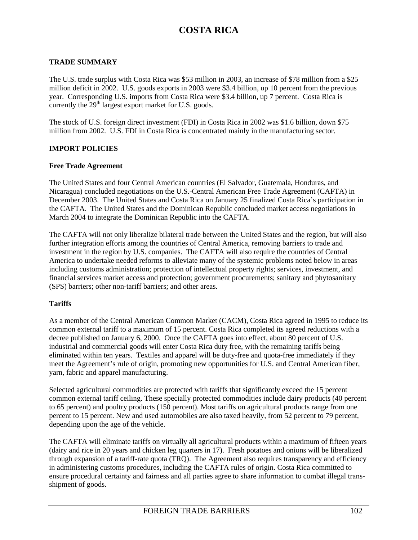## **TRADE SUMMARY**

The U.S. trade surplus with Costa Rica was \$53 million in 2003, an increase of \$78 million from a \$25 million deficit in 2002. U.S. goods exports in 2003 were \$3.4 billion, up 10 percent from the previous year. Corresponding U.S. imports from Costa Rica were \$3.4 billion, up 7 percent. Costa Rica is currently the  $29<sup>th</sup>$  largest export market for U.S. goods.

The stock of U.S. foreign direct investment (FDI) in Costa Rica in 2002 was \$1.6 billion, down \$75 million from 2002. U.S. FDI in Costa Rica is concentrated mainly in the manufacturing sector.

## **IMPORT POLICIES**

### **Free Trade Agreement**

The United States and four Central American countries (El Salvador, Guatemala, Honduras, and Nicaragua) concluded negotiations on the U.S.-Central American Free Trade Agreement (CAFTA) in December 2003. The United States and Costa Rica on January 25 finalized Costa Rica's participation in the CAFTA. The United States and the Dominican Republic concluded market access negotiations in March 2004 to integrate the Dominican Republic into the CAFTA.

The CAFTA will not only liberalize bilateral trade between the United States and the region, but will also further integration efforts among the countries of Central America, removing barriers to trade and investment in the region by U.S. companies. The CAFTA will also require the countries of Central America to undertake needed reforms to alleviate many of the systemic problems noted below in areas including customs administration; protection of intellectual property rights; services, investment, and financial services market access and protection; government procurements; sanitary and phytosanitary (SPS) barriers; other non-tariff barriers; and other areas.

### **Tariffs**

As a member of the Central American Common Market (CACM), Costa Rica agreed in 1995 to reduce its common external tariff to a maximum of 15 percent. Costa Rica completed its agreed reductions with a decree published on January 6, 2000. Once the CAFTA goes into effect, about 80 percent of U.S. industrial and commercial goods will enter Costa Rica duty free, with the remaining tariffs being eliminated within ten years. Textiles and apparel will be duty-free and quota-free immediately if they meet the Agreement's rule of origin, promoting new opportunities for U.S. and Central American fiber, yarn, fabric and apparel manufacturing.

Selected agricultural commodities are protected with tariffs that significantly exceed the 15 percent common external tariff ceiling. These specially protected commodities include dairy products (40 percent to 65 percent) and poultry products (150 percent). Most tariffs on agricultural products range from one percent to 15 percent. New and used automobiles are also taxed heavily, from 52 percent to 79 percent, depending upon the age of the vehicle.

The CAFTA will eliminate tariffs on virtually all agricultural products within a maximum of fifteen years (dairy and rice in 20 years and chicken leg quarters in 17). Fresh potatoes and onions will be liberalized through expansion of a tariff-rate quota (TRQ). The Agreement also requires transparency and efficiency in administering customs procedures, including the CAFTA rules of origin. Costa Rica committed to ensure procedural certainty and fairness and all parties agree to share information to combat illegal transshipment of goods.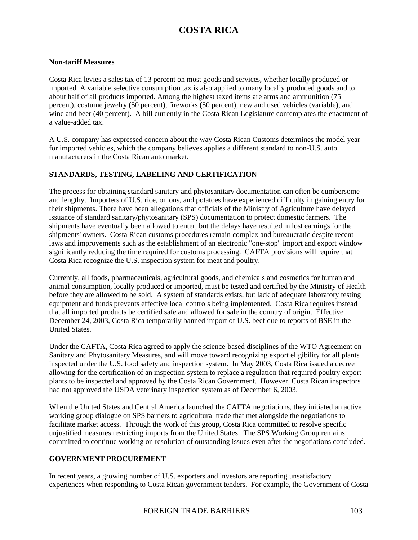### **Non-tariff Measures**

Costa Rica levies a sales tax of 13 percent on most goods and services, whether locally produced or imported. A variable selective consumption tax is also applied to many locally produced goods and to about half of all products imported. Among the highest taxed items are arms and ammunition (75 percent), costume jewelry (50 percent), fireworks (50 percent), new and used vehicles (variable), and wine and beer (40 percent). A bill currently in the Costa Rican Legislature contemplates the enactment of a value-added tax.

A U.S. company has expressed concern about the way Costa Rican Customs determines the model year for imported vehicles, which the company believes applies a different standard to non-U.S. auto manufacturers in the Costa Rican auto market.

### **STANDARDS, TESTING, LABELING AND CERTIFICATION**

The process for obtaining standard sanitary and phytosanitary documentation can often be cumbersome and lengthy. Importers of U.S. rice, onions, and potatoes have experienced difficulty in gaining entry for their shipments. There have been allegations that officials of the Ministry of Agriculture have delayed issuance of standard sanitary/phytosanitary (SPS) documentation to protect domestic farmers. The shipments have eventually been allowed to enter, but the delays have resulted in lost earnings for the shipments' owners. Costa Rican customs procedures remain complex and bureaucratic despite recent laws and improvements such as the establishment of an electronic "one-stop" import and export window significantly reducing the time required for customs processing. CAFTA provisions will require that Costa Rica recognize the U.S. inspection system for meat and poultry.

Currently, all foods, pharmaceuticals, agricultural goods, and chemicals and cosmetics for human and animal consumption, locally produced or imported, must be tested and certified by the Ministry of Health before they are allowed to be sold. A system of standards exists, but lack of adequate laboratory testing equipment and funds prevents effective local controls being implemented. Costa Rica requires instead that all imported products be certified safe and allowed for sale in the country of origin. Effective December 24, 2003, Costa Rica temporarily banned import of U.S. beef due to reports of BSE in the United States.

Under the CAFTA, Costa Rica agreed to apply the science-based disciplines of the WTO Agreement on Sanitary and Phytosanitary Measures, and will move toward recognizing export eligibility for all plants inspected under the U.S. food safety and inspection system. In May 2003, Costa Rica issued a decree allowing for the certification of an inspection system to replace a regulation that required poultry export plants to be inspected and approved by the Costa Rican Government. However, Costa Rican inspectors had not approved the USDA veterinary inspection system as of December 6, 2003.

When the United States and Central America launched the CAFTA negotiations, they initiated an active working group dialogue on SPS barriers to agricultural trade that met alongside the negotiations to facilitate market access. Through the work of this group, Costa Rica committed to resolve specific unjustified measures restricting imports from the United States. The SPS Working Group remains committed to continue working on resolution of outstanding issues even after the negotiations concluded.

#### **GOVERNMENT PROCUREMENT**

In recent years, a growing number of U.S. exporters and investors are reporting unsatisfactory experiences when responding to Costa Rican government tenders. For example, the Government of Costa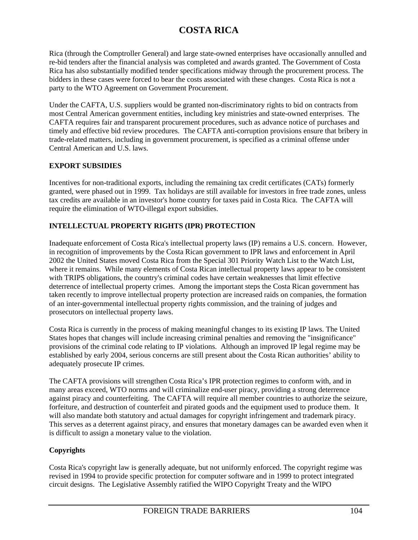Rica (through the Comptroller General) and large state-owned enterprises have occasionally annulled and re-bid tenders after the financial analysis was completed and awards granted. The Government of Costa Rica has also substantially modified tender specifications midway through the procurement process. The bidders in these cases were forced to bear the costs associated with these changes. Costa Rica is not a party to the WTO Agreement on Government Procurement.

Under the CAFTA, U.S. suppliers would be granted non-discriminatory rights to bid on contracts from most Central American government entities, including key ministries and state-owned enterprises. The CAFTA requires fair and transparent procurement procedures, such as advance notice of purchases and timely and effective bid review procedures. The CAFTA anti-corruption provisions ensure that bribery in trade-related matters, including in government procurement, is specified as a criminal offense under Central American and U.S. laws.

### **EXPORT SUBSIDIES**

Incentives for non-traditional exports, including the remaining tax credit certificates (CATs) formerly granted, were phased out in 1999. Tax holidays are still available for investors in free trade zones, unless tax credits are available in an investor's home country for taxes paid in Costa Rica. The CAFTA will require the elimination of WTO-illegal export subsidies.

# **INTELLECTUAL PROPERTY RIGHTS (IPR) PROTECTION**

Inadequate enforcement of Costa Rica's intellectual property laws (IP) remains a U.S. concern. However, in recognition of improvements by the Costa Rican government to IPR laws and enforcement in April 2002 the United States moved Costa Rica from the Special 301 Priority Watch List to the Watch List, where it remains. While many elements of Costa Rican intellectual property laws appear to be consistent with TRIPS obligations, the country's criminal codes have certain weaknesses that limit effective deterrence of intellectual property crimes. Among the important steps the Costa Rican government has taken recently to improve intellectual property protection are increased raids on companies, the formation of an inter-governmental intellectual property rights commission, and the training of judges and prosecutors on intellectual property laws.

Costa Rica is currently in the process of making meaningful changes to its existing IP laws. The United States hopes that changes will include increasing criminal penalties and removing the "insignificance" provisions of the criminal code relating to IP violations. Although an improved IP legal regime may be established by early 2004, serious concerns are still present about the Costa Rican authorities' ability to adequately prosecute IP crimes.

The CAFTA provisions will strengthen Costa Rica's IPR protection regimes to conform with, and in many areas exceed, WTO norms and will criminalize end-user piracy, providing a strong deterrence against piracy and counterfeiting. The CAFTA will require all member countries to authorize the seizure, forfeiture, and destruction of counterfeit and pirated goods and the equipment used to produce them. It will also mandate both statutory and actual damages for copyright infringement and trademark piracy. This serves as a deterrent against piracy, and ensures that monetary damages can be awarded even when it is difficult to assign a monetary value to the violation.

## **Copyrights**

Costa Rica's copyright law is generally adequate, but not uniformly enforced. The copyright regime was revised in 1994 to provide specific protection for computer software and in 1999 to protect integrated circuit designs. The Legislative Assembly ratified the WIPO Copyright Treaty and the WIPO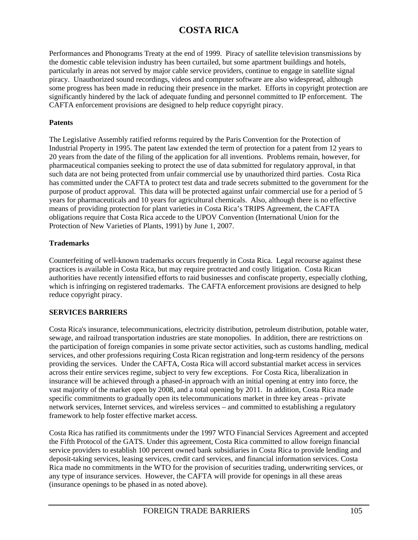Performances and Phonograms Treaty at the end of 1999. Piracy of satellite television transmissions by the domestic cable television industry has been curtailed, but some apartment buildings and hotels, particularly in areas not served by major cable service providers, continue to engage in satellite signal piracy. Unauthorized sound recordings, videos and computer software are also widespread, although some progress has been made in reducing their presence in the market. Efforts in copyright protection are significantly hindered by the lack of adequate funding and personnel committed to IP enforcement. The CAFTA enforcement provisions are designed to help reduce copyright piracy.

### **Patents**

The Legislative Assembly ratified reforms required by the Paris Convention for the Protection of Industrial Property in 1995. The patent law extended the term of protection for a patent from 12 years to 20 years from the date of the filing of the application for all inventions. Problems remain, however, for pharmaceutical companies seeking to protect the use of data submitted for regulatory approval, in that such data are not being protected from unfair commercial use by unauthorized third parties. Costa Rica has committed under the CAFTA to protect test data and trade secrets submitted to the government for the purpose of product approval. This data will be protected against unfair commercial use for a period of 5 years for pharmaceuticals and 10 years for agricultural chemicals. Also, although there is no effective means of providing protection for plant varieties in Costa Rica's TRIPS Agreement, the CAFTA obligations require that Costa Rica accede to the UPOV Convention (International Union for the Protection of New Varieties of Plants, 1991) by June 1, 2007.

## **Trademarks**

Counterfeiting of well-known trademarks occurs frequently in Costa Rica. Legal recourse against these practices is available in Costa Rica, but may require protracted and costly litigation. Costa Rican authorities have recently intensified efforts to raid businesses and confiscate property, especially clothing, which is infringing on registered trademarks. The CAFTA enforcement provisions are designed to help reduce copyright piracy.

## **SERVICES BARRIERS**

Costa Rica's insurance, telecommunications, electricity distribution, petroleum distribution, potable water, sewage, and railroad transportation industries are state monopolies. In addition, there are restrictions on the participation of foreign companies in some private sector activities, such as customs handling, medical services, and other professions requiring Costa Rican registration and long-term residency of the persons providing the services. Under the CAFTA, Costa Rica will accord substantial market access in services across their entire services regime, subject to very few exceptions. For Costa Rica, liberalization in insurance will be achieved through a phased-in approach with an initial opening at entry into force, the vast majority of the market open by 2008, and a total opening by 2011. In addition, Costa Rica made specific commitments to gradually open its telecommunications market in three key areas - private network services, Internet services, and wireless services – and committed to establishing a regulatory framework to help foster effective market access.

Costa Rica has ratified its commitments under the 1997 WTO Financial Services Agreement and accepted the Fifth Protocol of the GATS. Under this agreement, Costa Rica committed to allow foreign financial service providers to establish 100 percent owned bank subsidiaries in Costa Rica to provide lending and deposit-taking services, leasing services, credit card services, and financial information services. Costa Rica made no commitments in the WTO for the provision of securities trading, underwriting services, or any type of insurance services. However, the CAFTA will provide for openings in all these areas (insurance openings to be phased in as noted above).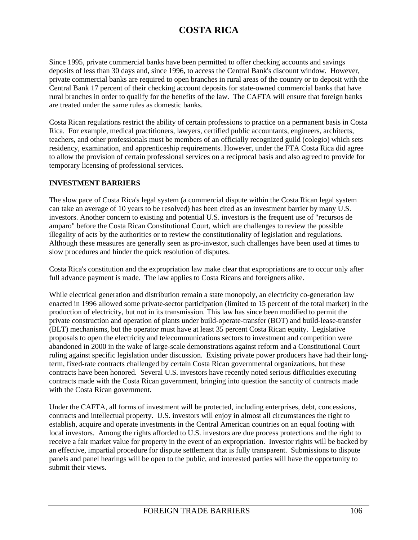Since 1995, private commercial banks have been permitted to offer checking accounts and savings deposits of less than 30 days and, since 1996, to access the Central Bank's discount window. However, private commercial banks are required to open branches in rural areas of the country or to deposit with the Central Bank 17 percent of their checking account deposits for state-owned commercial banks that have rural branches in order to qualify for the benefits of the law. The CAFTA will ensure that foreign banks are treated under the same rules as domestic banks.

Costa Rican regulations restrict the ability of certain professions to practice on a permanent basis in Costa Rica. For example, medical practitioners, lawyers, certified public accountants, engineers, architects, teachers, and other professionals must be members of an officially recognized guild (colegio) which sets residency, examination, and apprenticeship requirements. However, under the FTA Costa Rica did agree to allow the provision of certain professional services on a reciprocal basis and also agreed to provide for temporary licensing of professional services.

### **INVESTMENT BARRIERS**

The slow pace of Costa Rica's legal system (a commercial dispute within the Costa Rican legal system can take an average of 10 years to be resolved) has been cited as an investment barrier by many U.S. investors. Another concern to existing and potential U.S. investors is the frequent use of "recursos de amparo" before the Costa Rican Constitutional Court, which are challenges to review the possible illegality of acts by the authorities or to review the constitutionality of legislation and regulations. Although these measures are generally seen as pro-investor, such challenges have been used at times to slow procedures and hinder the quick resolution of disputes.

Costa Rica's constitution and the expropriation law make clear that expropriations are to occur only after full advance payment is made. The law applies to Costa Ricans and foreigners alike.

While electrical generation and distribution remain a state monopoly, an electricity co-generation law enacted in 1996 allowed some private-sector participation (limited to 15 percent of the total market) in the production of electricity, but not in its transmission. This law has since been modified to permit the private construction and operation of plants under build-operate-transfer (BOT) and build-lease-transfer (BLT) mechanisms, but the operator must have at least 35 percent Costa Rican equity. Legislative proposals to open the electricity and telecommunications sectors to investment and competition were abandoned in 2000 in the wake of large-scale demonstrations against reform and a Constitutional Court ruling against specific legislation under discussion. Existing private power producers have had their longterm, fixed-rate contracts challenged by certain Costa Rican governmental organizations, but these contracts have been honored. Several U.S. investors have recently noted serious difficulties executing contracts made with the Costa Rican government, bringing into question the sanctity of contracts made with the Costa Rican government.

Under the CAFTA, all forms of investment will be protected, including enterprises, debt, concessions, contracts and intellectual property. U.S. investors will enjoy in almost all circumstances the right to establish, acquire and operate investments in the Central American countries on an equal footing with local investors. Among the rights afforded to U.S. investors are due process protections and the right to receive a fair market value for property in the event of an expropriation. Investor rights will be backed by an effective, impartial procedure for dispute settlement that is fully transparent. Submissions to dispute panels and panel hearings will be open to the public, and interested parties will have the opportunity to submit their views.